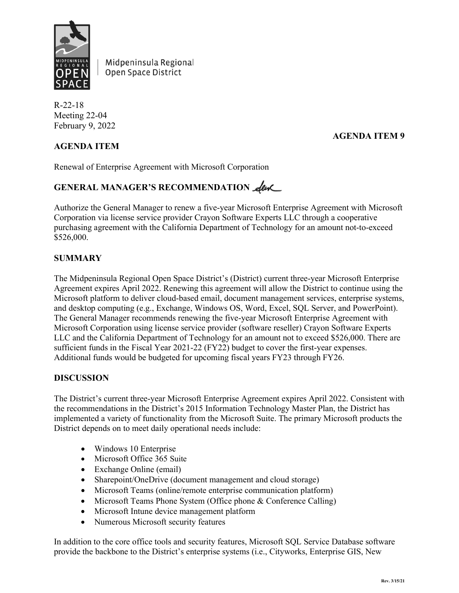

Midpeninsula Regional Open Space District

R-22-18 Meeting 22-04 February 9, 2022

### **AGENDA ITEM 9**

#### **AGENDA ITEM**

Renewal of Enterprise Agreement with Microsoft Corporation

# GENERAL MANAGER'S RECOMMENDATION **elence**

Authorize the General Manager to renew a five-year Microsoft Enterprise Agreement with Microsoft Corporation via license service provider Crayon Software Experts LLC through a cooperative purchasing agreement with the California Department of Technology for an amount not-to-exceed \$526,000.

#### **SUMMARY**

The Midpeninsula Regional Open Space District's (District) current three-year Microsoft Enterprise Agreement expires April 2022. Renewing this agreement will allow the District to continue using the Microsoft platform to deliver cloud-based email, document management services, enterprise systems, and desktop computing (e.g., Exchange, Windows OS, Word, Excel, SQL Server, and PowerPoint). The General Manager recommends renewing the five-year Microsoft Enterprise Agreement with Microsoft Corporation using license service provider (software reseller) Crayon Software Experts LLC and the California Department of Technology for an amount not to exceed \$526,000. There are sufficient funds in the Fiscal Year 2021-22 (FY22) budget to cover the first-year expenses. Additional funds would be budgeted for upcoming fiscal years FY23 through FY26.

#### **DISCUSSION**

The District's current three-year Microsoft Enterprise Agreement expires April 2022. Consistent with the recommendations in the District's 2015 Information Technology Master Plan, the District has implemented a variety of functionality from the Microsoft Suite. The primary Microsoft products the District depends on to meet daily operational needs include:

- Windows 10 Enterprise
- Microsoft Office 365 Suite
- Exchange Online (email)
- Sharepoint/OneDrive (document management and cloud storage)
- Microsoft Teams (online/remote enterprise communication platform)
- Microsoft Teams Phone System (Office phone & Conference Calling)
- Microsoft Intune device management platform
- Numerous Microsoft security features

In addition to the core office tools and security features, Microsoft SQL Service Database software provide the backbone to the District's enterprise systems (i.e., Cityworks, Enterprise GIS, New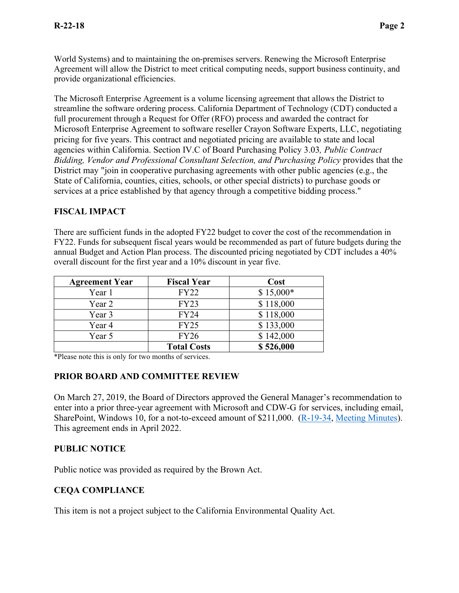World Systems) and to maintaining the on-premises servers. Renewing the Microsoft Enterprise Agreement will allow the District to meet critical computing needs, support business continuity, and provide organizational efficiencies.

The Microsoft Enterprise Agreement is a volume licensing agreement that allows the District to streamline the software ordering process. California Department of Technology (CDT) conducted a full procurement through a Request for Offer (RFO) process and awarded the contract for Microsoft Enterprise Agreement to software reseller Crayon Software Experts, LLC, negotiating pricing for five years. This contract and negotiated pricing are available to state and local agencies within California. Section IV.C of Board Purchasing Policy 3.03*, Public Contract Bidding, Vendor and Professional Consultant Selection, and Purchasing Policy* provides that the District may "join in cooperative purchasing agreements with other public agencies (e.g., the State of California, counties, cities, schools, or other special districts) to purchase goods or services at a price established by that agency through a competitive bidding process."

## **FISCAL IMPACT**

There are sufficient funds in the adopted FY22 budget to cover the cost of the recommendation in FY22. Funds for subsequent fiscal years would be recommended as part of future budgets during the annual Budget and Action Plan process. The discounted pricing negotiated by CDT includes a 40% overall discount for the first year and a 10% discount in year five.

| <b>Agreement Year</b> | <b>Fiscal Year</b> | Cost       |
|-----------------------|--------------------|------------|
| Year 1                | <b>FY22</b>        | $$15,000*$ |
| Year 2                | <b>FY23</b>        | \$118,000  |
| Year 3                | <b>FY24</b>        | \$118,000  |
| Year 4                | <b>FY25</b>        | \$133,000  |
| Year 5                | <b>FY26</b>        | \$142,000  |
|                       | <b>Total Costs</b> | \$526,000  |

\*Please note this is only for two months of services.

## **PRIOR BOARD AND COMMITTEE REVIEW**

On March 27, 2019, the Board of Directors approved the General Manager's recommendation to enter into a prior three-year agreement with Microsoft and CDW-G for services, including email, SharePoint, Windows 10, for a not-to-exceed amount of \$211,000. [\(R-19-34,](https://www.openspace.org/sites/default/files/20190327_Microsoft%20Enterprise%20License%20Renewal_R-19-34.pdf) [Meeting Minutes\)](https://www.openspace.org/sites/default/files/20190327_BOD_minutes_APPROVED.pdf). This agreement ends in April 2022.

## **PUBLIC NOTICE**

Public notice was provided as required by the Brown Act.

## **CEQA COMPLIANCE**

This item is not a project subject to the California Environmental Quality Act.